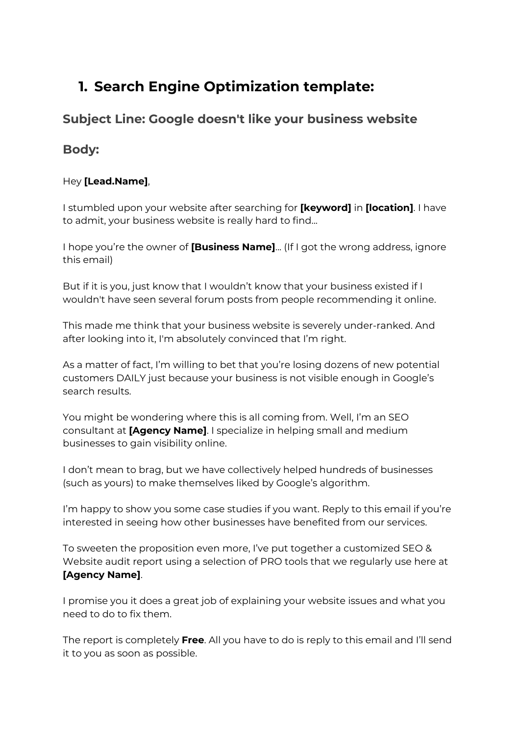# **1. Search Engine Optimization template:**

## **Subject Line: Google doesn't like your business website**

### **Body:**

#### Hey **[Lead.Name]**,

I stumbled upon your website after searching for **[keyword]** in **[location]**. I have to admit, your business website is really hard to find...

I hope you're the owner of **[Business Name]**... (If I got the wrong address, ignore this email)

But if it is you, just know that I wouldn't know that your business existed if I wouldn't have seen several forum posts from people recommending it online.

This made me think that your business website is severely under-ranked. And after looking into it, I'm absolutely convinced that I'm right.

As a matter of fact, I'm willing to bet that you're losing dozens of new potential customers DAILY just because your business is not visible enough in Google's search results.

You might be wondering where this is all coming from. Well, I'm an SEO consultant at **[Agency Name]**. I specialize in helping small and medium businesses to gain visibility online.

I don't mean to brag, but we have collectively helped hundreds of businesses (such as yours) to make themselves liked by Google's algorithm.

I'm happy to show you some case studies if you want. Reply to this email if you're interested in seeing how other businesses have benefited from our services.

To sweeten the proposition even more, I've put together a customized SEO & Website audit report using a selection of PRO tools that we regularly use here at **[Agency Name]**.

I promise you it does a great job of explaining your website issues and what you need to do to fix them.

The report is completely **Free**. All you have to do is reply to this email and I'll send it to you as soon as possible.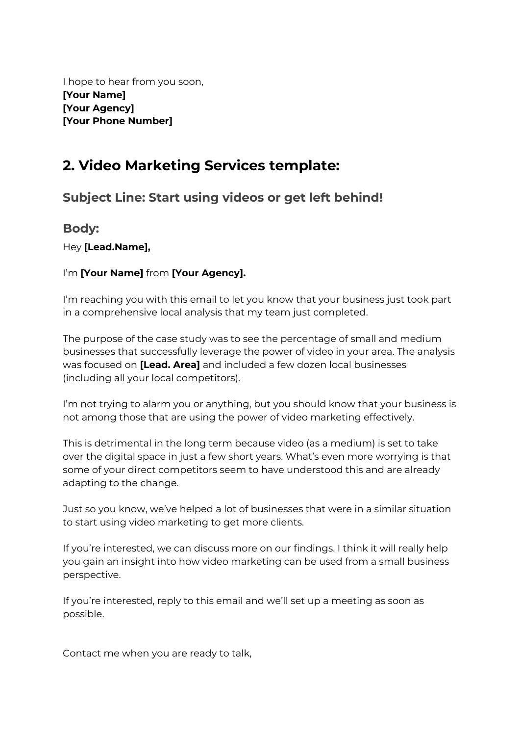I hope to hear from you soon, **[Your Name] [Your Agency] [Your Phone Number]**

# **2. Video Marketing Services template:**

**Subject Line: Start using videos or get left behind!**

### **Body:**

Hey **[Lead.Name],**

#### I'm **[Your Name]** from **[Your Agency].**

I'm reaching you with this email to let you know that your business just took part in a comprehensive local analysis that my team just completed.

The purpose of the case study was to see the percentage of small and medium businesses that successfully leverage the power of video in your area. The analysis was focused on **[Lead. Area]** and included a few dozen local businesses (including all your local competitors).

I'm not trying to alarm you or anything, but you should know that your business is not among those that are using the power of video marketing effectively.

This is detrimental in the long term because video (as a medium) is set to take over the digital space in just a few short years. What's even more worrying is that some of your direct competitors seem to have understood this and are already adapting to the change.

Just so you know, we've helped a lot of businesses that were in a similar situation to start using video marketing to get more clients.

If you're interested, we can discuss more on our findings. I think it will really help you gain an insight into how video marketing can be used from a small business perspective.

If you're interested, reply to this email and we'll set up a meeting as soon as possible.

Contact me when you are ready to talk,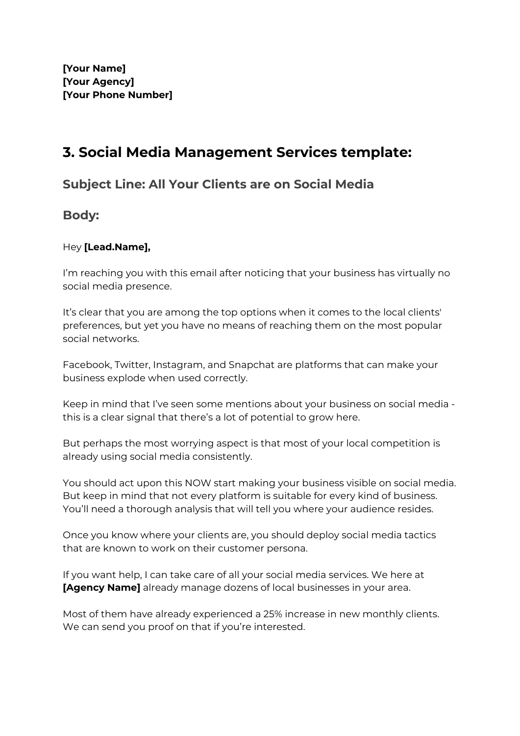**[Your Name] [Your Agency] [Your Phone Number]**

# **3. Social Media Management Services template:**

## **Subject Line: All Your Clients are on Social Media**

### **Body:**

#### Hey **[Lead.Name],**

I'm reaching you with this email after noticing that your business has virtually no social media presence.

It's clear that you are among the top options when it comes to the local clients' preferences, but yet you have no means of reaching them on the most popular social networks.

Facebook, Twitter, Instagram, and Snapchat are platforms that can make your business explode when used correctly.

Keep in mind that I've seen some mentions about your business on social media this is a clear signal that there's a lot of potential to grow here.

But perhaps the most worrying aspect is that most of your local competition is already using social media consistently.

You should act upon this NOW start making your business visible on social media. But keep in mind that not every platform is suitable for every kind of business. You'll need a thorough analysis that will tell you where your audience resides.

Once you know where your clients are, you should deploy social media tactics that are known to work on their customer persona.

If you want help, I can take care of all your social media services. We here at **[Agency Name]** already manage dozens of local businesses in your area.

Most of them have already experienced a 25% increase in new monthly clients. We can send you proof on that if you're interested.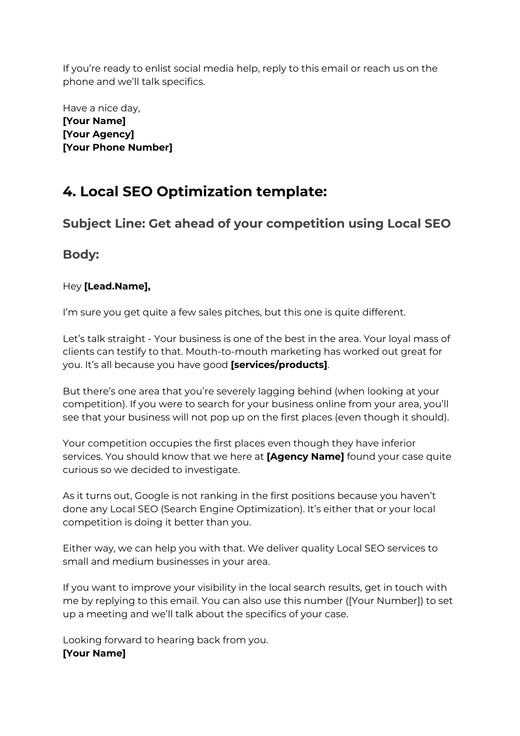If you're ready to enlist social media help, reply to this email or reach us on the phone and we'll talk specifics.

Have a nice day, **[Your Name] [Your Agency] [Your Phone Number]**

# **4. Local SEO Optimization template:**

## **Subject Line: Get ahead of your competition using Local SEO**

### **Body:**

#### Hey **[Lead.Name],**

I'm sure you get quite a few sales pitches, but this one is quite different.

Let's talk straight - Your business is one of the best in the area. Your loyal mass of clients can testify to that. Mouth-to-mouth marketing has worked out great for you. It's all because you have good **[services/products]**.

But there's one area that you're severely lagging behind (when looking at your competition). If you were to search for your business online from your area, you'll see that your business will not pop up on the first places (even though it should).

Your competition occupies the first places even though they have inferior services. You should know that we here at **[Agency Name]** found your case quite curious so we decided to investigate.

As it turns out, Google is not ranking in the first positions because you haven't done any Local SEO (Search Engine Optimization). It's either that or your local competition is doing it better than you.

Either way, we can help you with that. We deliver quality Local SEO services to small and medium businesses in your area.

If you want to improve your visibility in the local search results, get in touch with me by replying to this email. You can also use this number ([Your Number]) to set up a meeting and we'll talk about the specifics of your case.

Looking forward to hearing back from you. **[Your Name]**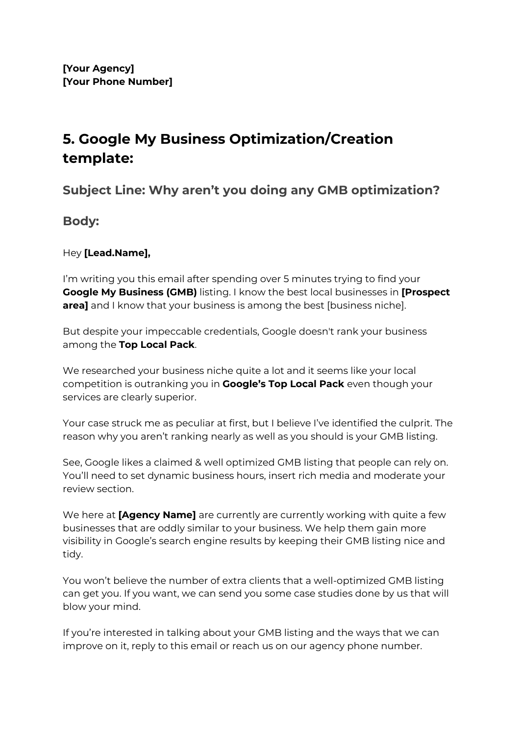# **5. Google My Business Optimization/Creation template:**

## **Subject Line: Why aren't you doing any GMB optimization?**

### **Body:**

#### Hey **[Lead.Name],**

I'm writing you this email after spending over 5 minutes trying to find your **Google My Business (GMB)** listing. I know the best local businesses in **[Prospect area]** and I know that your business is among the best [business niche].

But despite your impeccable credentials, Google doesn't rank your business among the **Top Local Pack**.

We researched your business niche quite a lot and it seems like your local competition is outranking you in **Google's Top Local Pack** even though your services are clearly superior.

Your case struck me as peculiar at first, but I believe I've identified the culprit. The reason why you aren't ranking nearly as well as you should is your GMB listing.

See, Google likes a claimed & well optimized GMB listing that people can rely on. You'll need to set dynamic business hours, insert rich media and moderate your review section.

We here at **[Agency Name]** are currently are currently working with quite a few businesses that are oddly similar to your business. We help them gain more visibility in Google's search engine results by keeping their GMB listing nice and tidy.

You won't believe the number of extra clients that a well-optimized GMB listing can get you. If you want, we can send you some case studies done by us that will blow your mind.

If you're interested in talking about your GMB listing and the ways that we can improve on it, reply to this email or reach us on our agency phone number.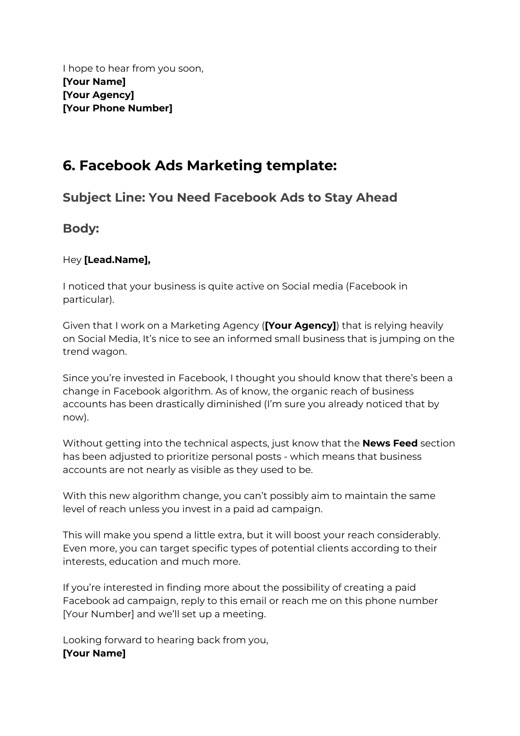I hope to hear from you soon, **[Your Name] [Your Agency] [Your Phone Number]**

# **6. Facebook Ads Marketing template:**

## **Subject Line: You Need Facebook Ads to Stay Ahead**

### **Body:**

#### Hey **[Lead.Name],**

I noticed that your business is quite active on Social media (Facebook in particular).

Given that I work on a Marketing Agency (**[Your Agency]**) that is relying heavily on Social Media, It's nice to see an informed small business that is jumping on the trend wagon.

Since you're invested in Facebook, I thought you should know that there's been a change in Facebook algorithm. As of know, the organic reach of business accounts has been drastically diminished (I'm sure you already noticed that by now).

Without getting into the technical aspects, just know that the **News Feed** section has been adjusted to prioritize personal posts - which means that business accounts are not nearly as visible as they used to be.

With this new algorithm change, you can't possibly aim to maintain the same level of reach unless you invest in a paid ad campaign.

This will make you spend a little extra, but it will boost your reach considerably. Even more, you can target specific types of potential clients according to their interests, education and much more.

If you're interested in finding more about the possibility of creating a paid Facebook ad campaign, reply to this email or reach me on this phone number [Your Number] and we'll set up a meeting.

Looking forward to hearing back from you, **[Your Name]**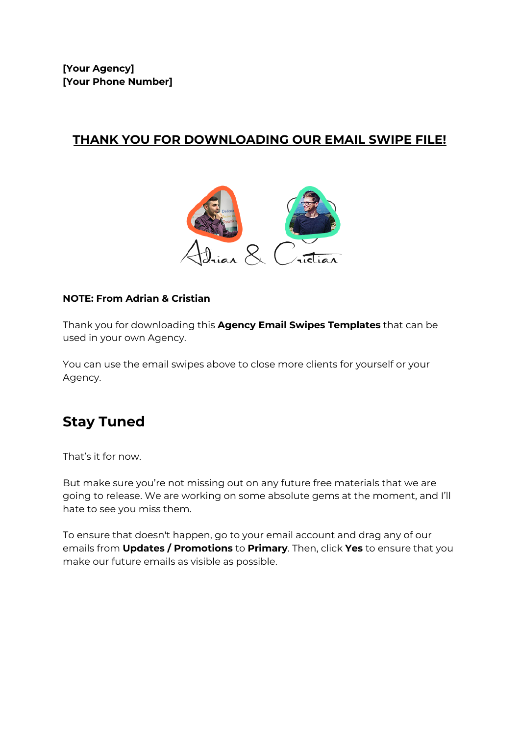## **THANK YOU FOR DOWNLOADING OUR EMAIL SWIPE FILE!**



#### **NOTE: From Adrian & Cristian**

Thank you for downloading this **Agency Email Swipes Templates** that can be used in your own Agency.

You can use the email swipes above to close more clients for yourself or your Agency.

# **Stay Tuned**

That's it for now.

But make sure you're not missing out on any future free materials that we are going to release. We are working on some absolute gems at the moment, and I'll hate to see you miss them.

To ensure that doesn't happen, go to your email account and drag any of our emails from **Updates / Promotions** to **Primary**. Then, click **Yes** to ensure that you make our future emails as visible as possible.